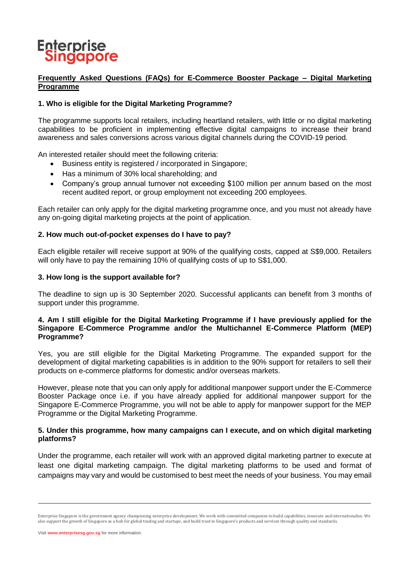# **Enterprise**<br>Singapore

## **Frequently Asked Questions (FAQs) for E-Commerce Booster Package – Digital Marketing Programme**

## **1. Who is eligible for the Digital Marketing Programme?**

The programme supports local retailers, including heartland retailers, with little or no digital marketing capabilities to be proficient in implementing effective digital campaigns to increase their brand awareness and sales conversions across various digital channels during the COVID-19 period.

An interested retailer should meet the following criteria:

- Business entity is registered / incorporated in Singapore;
- Has a minimum of 30% local shareholding: and
- Company's group annual turnover not exceeding \$100 million per annum based on the most recent audited report, or group employment not exceeding 200 employees.

Each retailer can only apply for the digital marketing programme once, and you must not already have any on-going digital marketing projects at the point of application.

#### **2. How much out-of-pocket expenses do I have to pay?**

Each eligible retailer will receive support at 90% of the qualifying costs, capped at S\$9,000. Retailers will only have to pay the remaining 10% of qualifying costs of up to S\$1,000.

#### **3. How long is the support available for?**

The deadline to sign up is 30 September 2020. Successful applicants can benefit from 3 months of support under this programme.

#### **4. Am I still eligible for the Digital Marketing Programme if I have previously applied for the Singapore E-Commerce Programme and/or the Multichannel E-Commerce Platform (MEP) Programme?**

Yes, you are still eligible for the Digital Marketing Programme. The expanded support for the development of digital marketing capabilities is in addition to the 90% support for retailers to sell their products on e-commerce platforms for domestic and/or overseas markets.

However, please note that you can only apply for additional manpower support under the E-Commerce Booster Package once i.e. if you have already applied for additional manpower support for the Singapore E-Commerce Programme, you will not be able to apply for manpower support for the MEP Programme or the Digital Marketing Programme.

#### **5. Under this programme, how many campaigns can I execute, and on which digital marketing platforms?**

Under the programme, each retailer will work with an approved digital marketing partner to execute at least one digital marketing campaign. The digital marketing platforms to be used and format of campaigns may vary and would be customised to best meet the needs of your business. You may email

Enterprise Singapore is the government agency championing enterprise development. We work with committed companies to build capabilities, innovate and internationalise. We also support the growth of Singapore as a hub for global trading and startups, and build trust in Singapore's products and services through quality and standards.